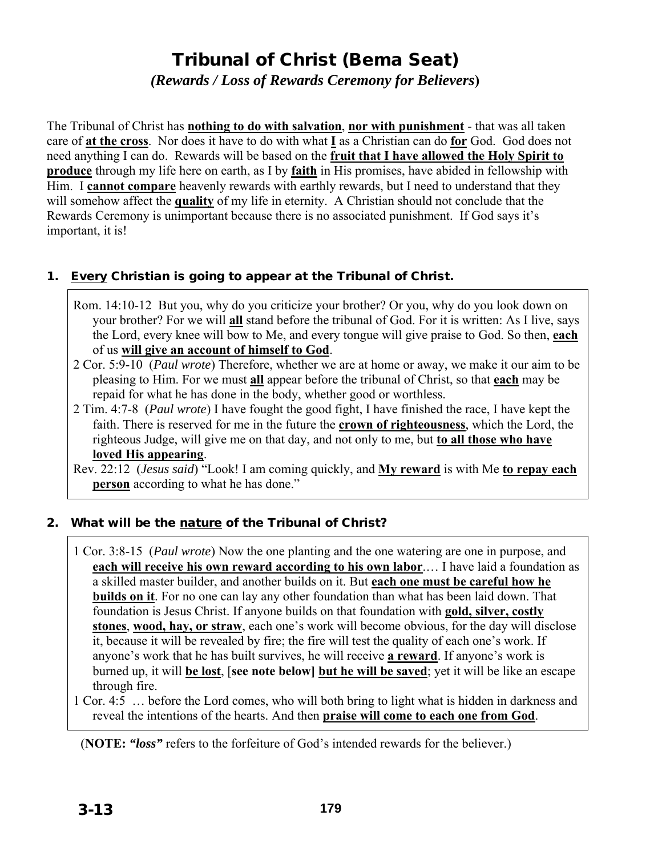# Tribunal of Christ (Bema Seat)

*(Rewards / Loss of Rewards Ceremony for Believers***)** 

The Tribunal of Christ has **nothing to do with salvation**, **nor with punishment** - that was all taken care of **at the cross**. Nor does it have to do with what **I** as a Christian can do **for** God. God does not need anything I can do. Rewards will be based on the **fruit that I have allowed the Holy Spirit to produce** through my life here on earth, as I by **faith** in His promises, have abided in fellowship with Him. I **cannot compare** heavenly rewards with earthly rewards, but I need to understand that they will somehow affect the **quality** of my life in eternity. A Christian should not conclude that the Rewards Ceremony is unimportant because there is no associated punishment. If God says it's important, it is!

### 1. Every Christian is going to appear at the Tribunal of Christ.

- Rom. 14:10-12 But you, why do you criticize your brother? Or you, why do you look down on your brother? For we will **all** stand before the tribunal of God. For it is written: As I live, says the Lord, every knee will bow to Me, and every tongue will give praise to God. So then, **each** of us **will give an account of himself to God**.
- 2 Cor. 5:9-10 (*Paul wrote*) Therefore, whether we are at home or away, we make it our aim to be pleasing to Him. For we must **all** appear before the tribunal of Christ, so that **each** may be repaid for what he has done in the body, whether good or worthless.
- 2 Tim. 4:7-8 (*Paul wrote*) I have fought the good fight, I have finished the race, I have kept the faith. There is reserved for me in the future the **crown of righteousness**, which the Lord, the righteous Judge, will give me on that day, and not only to me, but **to all those who have loved His appearing**.

Rev. 22:12 (*Jesus said*) "Look! I am coming quickly, and **My reward** is with Me **to repay each person** according to what he has done."

### 2. What will be the nature of the Tribunal of Christ?

1 Cor. 3:8-15 (*Paul wrote*) Now the one planting and the one watering are one in purpose, and **each will receive his own reward according to his own labor**.… I have laid a foundation as a skilled master builder, and another builds on it. But **each one must be careful how he builds on it**. For no one can lay any other foundation than what has been laid down. That foundation is Jesus Christ. If anyone builds on that foundation with **gold, silver, costly stones**, **wood, hay, or straw**, each one's work will become obvious, for the day will disclose it, because it will be revealed by fire; the fire will test the quality of each one's work. If anyone's work that he has built survives, he will receive **a reward**. If anyone's work is burned up, it will **be lost**, [**see note below] but he will be saved**; yet it will be like an escape through fire.

1 Cor. 4:5 … before the Lord comes, who will both bring to light what is hidden in darkness and reveal the intentions of the hearts. And then **praise will come to each one from God**.

(**NOTE:** *"loss"* refers to the forfeiture of God's intended rewards for the believer.)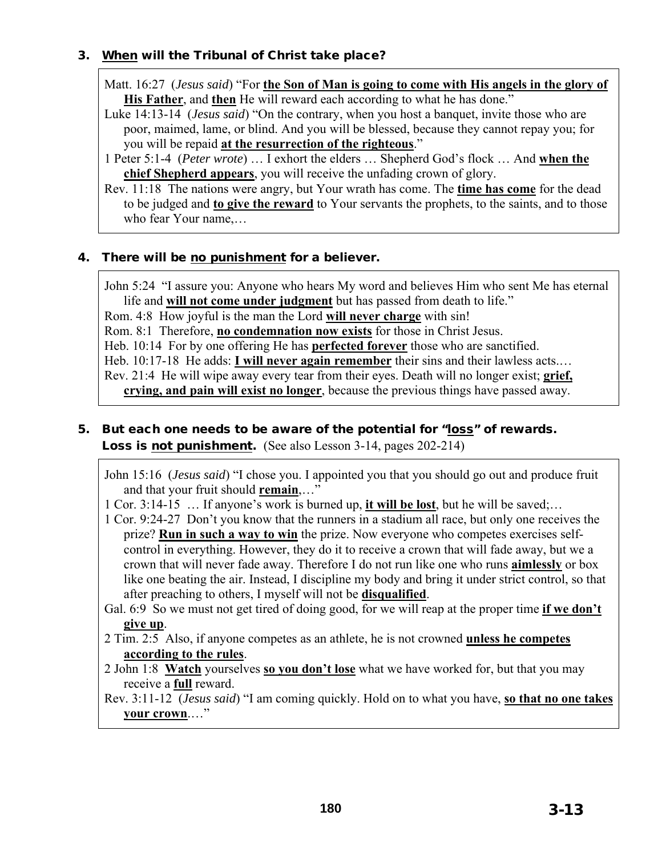### 3. When will the Tribunal of Christ take place?

Matt. 16:27 (*Jesus said*) "For **the Son of Man is going to come with His angels in the glory of His Father**, and **then** He will reward each according to what he has done."

- Luke 14:13-14 (*Jesus said*) "On the contrary, when you host a banquet, invite those who are poor, maimed, lame, or blind. And you will be blessed, because they cannot repay you; for you will be repaid **at the resurrection of the righteous**."
- 1 Peter 5:1-4 (*Peter wrote*) … I exhort the elders … Shepherd God's flock … And **when the chief Shepherd appears**, you will receive the unfading crown of glory.
- Rev. 11:18 The nations were angry, but Your wrath has come. The **time has come** for the dead to be judged and **to give the reward** to Your servants the prophets, to the saints, and to those who fear Your name,…

### 4. There will be no punishment for a believer.

John 5:24 "I assure you: Anyone who hears My word and believes Him who sent Me has eternal life and **will not come under judgment** but has passed from death to life." Rom. 4:8 How joyful is the man the Lord **will never charge** with sin! Rom. 8:1 Therefore, **no condemnation now exists** for those in Christ Jesus. Heb. 10:14 For by one offering He has **perfected forever** those who are sanctified. Heb. 10:17-18 He adds: **I will never again remember** their sins and their lawless acts.… Rev. 21:4 He will wipe away every tear from their eyes. Death will no longer exist; **grief,** 

**crying, and pain will exist no longer**, because the previous things have passed away.

### 5. But each one needs to be aware of the potential for "loss" of rewards. Loss is not punishment. (See also Lesson 3-14, pages 202-214)

John 15:16 (*Jesus said*) "I chose you. I appointed you that you should go out and produce fruit and that your fruit should **remain**,…"

- 1 Cor. 3:14-15 … If anyone's work is burned up, **it will be lost**, but he will be saved;…
- 1 Cor. 9:24-27 Don't you know that the runners in a stadium all race, but only one receives the prize? **Run in such a way to win** the prize. Now everyone who competes exercises selfcontrol in everything. However, they do it to receive a crown that will fade away, but we a crown that will never fade away. Therefore I do not run like one who runs **aimlessly** or box like one beating the air. Instead, I discipline my body and bring it under strict control, so that after preaching to others, I myself will not be **disqualified**.
- Gal. 6:9 So we must not get tired of doing good, for we will reap at the proper time **if we don't give up**.
- 2 Tim. 2:5 Also, if anyone competes as an athlete, he is not crowned **unless he competes according to the rules**.
- 2 John 1:8 **Watch** yourselves **so you don't lose** what we have worked for, but that you may receive a **full** reward.

Rev. 3:11-12 (*Jesus said*) "I am coming quickly. Hold on to what you have, **so that no one takes your crown**.…"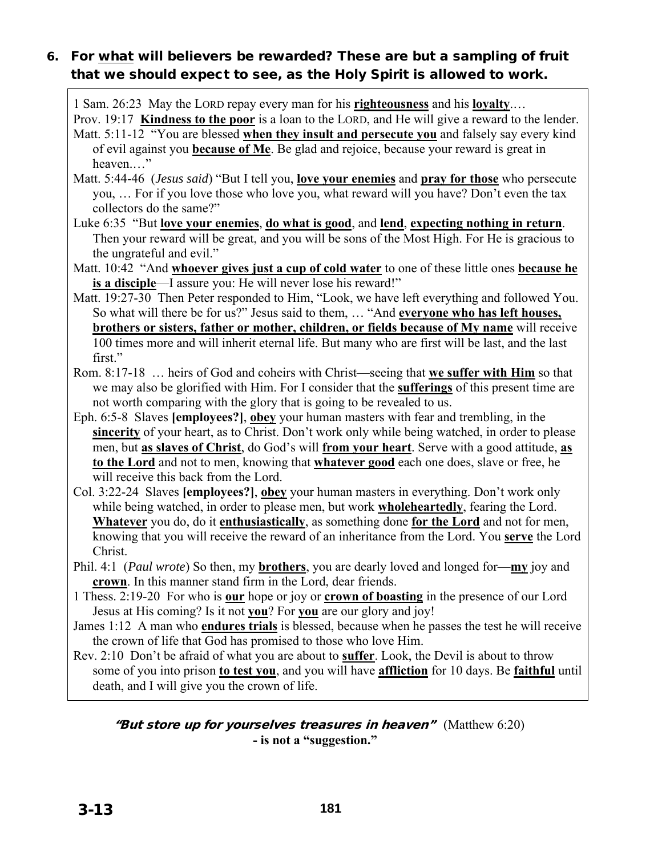# 6. For what will believers be rewarded? These are but a sampling of fruit that we should expect to see, as the Holy Spirit is allowed to work.

1 Sam. 26:23 May the LORD repay every man for his **righteousness** and his **loyalty**.…

Prov. 19:17 **Kindness to the poor** is a loan to the LORD, and He will give a reward to the lender. Matt. 5:11-12 "You are blessed **when they insult and persecute you** and falsely say every kind of evil against you **because of Me**. Be glad and rejoice, because your reward is great in heaven.…"

Matt. 5:44-46 (*Jesus said*) "But I tell you, **love your enemies** and **pray for those** who persecute you, … For if you love those who love you, what reward will you have? Don't even the tax collectors do the same?"

- Luke 6:35 "But **love your enemies**, **do what is good**, and **lend**, **expecting nothing in return**. Then your reward will be great, and you will be sons of the Most High. For He is gracious to the ungrateful and evil."
- Matt. 10:42 "And **whoever gives just a cup of cold water** to one of these little ones **because he is a disciple**—I assure you: He will never lose his reward!"
- Matt. 19:27-30 Then Peter responded to Him, "Look, we have left everything and followed You. So what will there be for us?" Jesus said to them, … "And **everyone who has left houses, brothers or sisters, father or mother, children, or fields because of My name** will receive 100 times more and will inherit eternal life. But many who are first will be last, and the last first."
- Rom. 8:17-18 … heirs of God and coheirs with Christ—seeing that **we suffer with Him** so that we may also be glorified with Him. For I consider that the **sufferings** of this present time are not worth comparing with the glory that is going to be revealed to us.
- Eph. 6:5-8 Slaves **[employees?]**, **obey** your human masters with fear and trembling, in the **sincerity** of your heart, as to Christ. Don't work only while being watched, in order to please men, but **as slaves of Christ**, do God's will **from your heart**. Serve with a good attitude, **as to the Lord** and not to men, knowing that **whatever good** each one does, slave or free, he will receive this back from the Lord.
- Col. 3:22-24 Slaves **[employees?]**, **obey** your human masters in everything. Don't work only while being watched, in order to please men, but work **wholeheartedly**, fearing the Lord. **Whatever** you do, do it **enthusiastically**, as something done **for the Lord** and not for men, knowing that you will receive the reward of an inheritance from the Lord. You **serve** the Lord Christ.
- Phil. 4:1 (*Paul wrote*) So then, my **brothers**, you are dearly loved and longed for—**my** joy and **crown**. In this manner stand firm in the Lord, dear friends.
- 1 Thess. 2:19-20 For who is **our** hope or joy or **crown of boasting** in the presence of our Lord Jesus at His coming? Is it not **you**? For **you** are our glory and joy!
- James 1:12 A man who **endures trials** is blessed, because when he passes the test he will receive the crown of life that God has promised to those who love Him.
- Rev. 2:10 Don't be afraid of what you are about to **suffer**. Look, the Devil is about to throw some of you into prison **to test you**, and you will have **affliction** for 10 days. Be **faithful** until death, and I will give you the crown of life.

"But store up for yourselves treasures in heaven" (Matthew  $6:20$ ) **- is not a "suggestion."**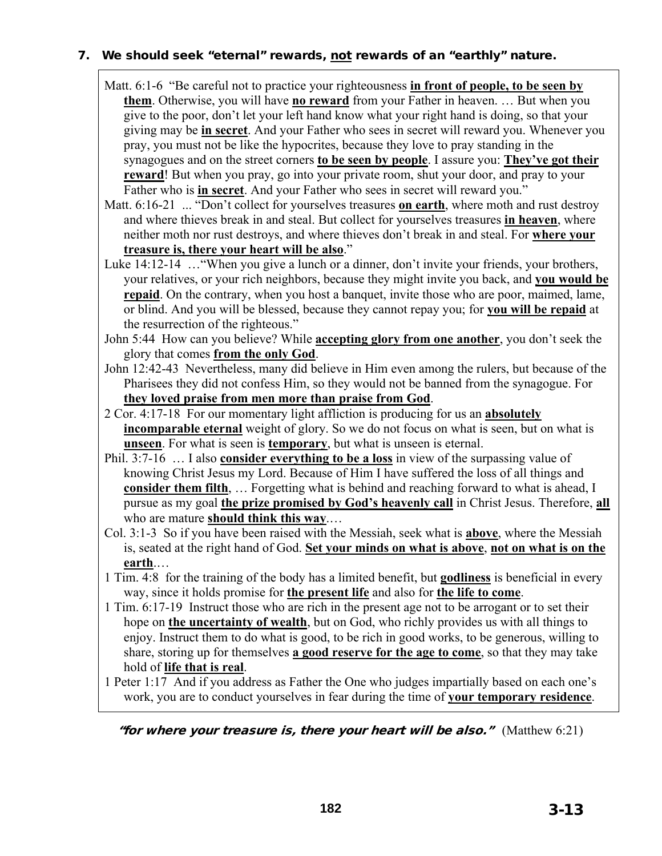### 7. We should seek "eternal" rewards, not rewards of an "earthly" nature.

- Matt. 6:1-6 "Be careful not to practice your righteousness **in front of people, to be seen by them**. Otherwise, you will have **no reward** from your Father in heaven. … But when you give to the poor, don't let your left hand know what your right hand is doing, so that your giving may be **in secret**. And your Father who sees in secret will reward you. Whenever you pray, you must not be like the hypocrites, because they love to pray standing in the synagogues and on the street corners **to be seen by people**. I assure you: **They've got their reward**! But when you pray, go into your private room, shut your door, and pray to your Father who is **in secret**. And your Father who sees in secret will reward you."
- Matt. 6:16-21 ... "Don't collect for yourselves treasures **on earth**, where moth and rust destroy and where thieves break in and steal. But collect for yourselves treasures **in heaven**, where neither moth nor rust destroys, and where thieves don't break in and steal. For **where your treasure is, there your heart will be also**."
- Luke 14:12-14 …"When you give a lunch or a dinner, don't invite your friends, your brothers, your relatives, or your rich neighbors, because they might invite you back, and **you would be repaid**. On the contrary, when you host a banquet, invite those who are poor, maimed, lame, or blind. And you will be blessed, because they cannot repay you; for **you will be repaid** at the resurrection of the righteous."
- John 5:44 How can you believe? While **accepting glory from one another**, you don't seek the glory that comes **from the only God**.
- John 12:42-43 Nevertheless, many did believe in Him even among the rulers, but because of the Pharisees they did not confess Him, so they would not be banned from the synagogue. For **they loved praise from men more than praise from God**.
- 2 Cor. 4:17-18 For our momentary light affliction is producing for us an **absolutely incomparable eternal** weight of glory. So we do not focus on what is seen, but on what is **unseen**. For what is seen is **temporary**, but what is unseen is eternal.
- Phil. 3:7-16 … I also **consider everything to be a loss** in view of the surpassing value of knowing Christ Jesus my Lord. Because of Him I have suffered the loss of all things and **consider them filth, ...** Forgetting what is behind and reaching forward to what is ahead, I pursue as my goal **the prize promised by God's heavenly call** in Christ Jesus. Therefore, **all** who are mature **should think this way**.…
- Col. 3:1-3 So if you have been raised with the Messiah, seek what is **above**, where the Messiah is, seated at the right hand of God. **Set your minds on what is above**, **not on what is on the earth**.…
- 1 Tim. 4:8 for the training of the body has a limited benefit, but **godliness** is beneficial in every way, since it holds promise for **the present life** and also for **the life to come**.
- 1 Tim. 6:17-19 Instruct those who are rich in the present age not to be arrogant or to set their hope on **the uncertainty of wealth**, but on God, who richly provides us with all things to enjoy. Instruct them to do what is good, to be rich in good works, to be generous, willing to share, storing up for themselves **a good reserve for the age to come**, so that they may take hold of **life that is real**.
- 1 Peter 1:17 And if you address as Father the One who judges impartially based on each one's work, you are to conduct yourselves in fear during the time of **your temporary residence**.

"for where your treasure is, there your heart will be also." (Matthew  $6:21$ )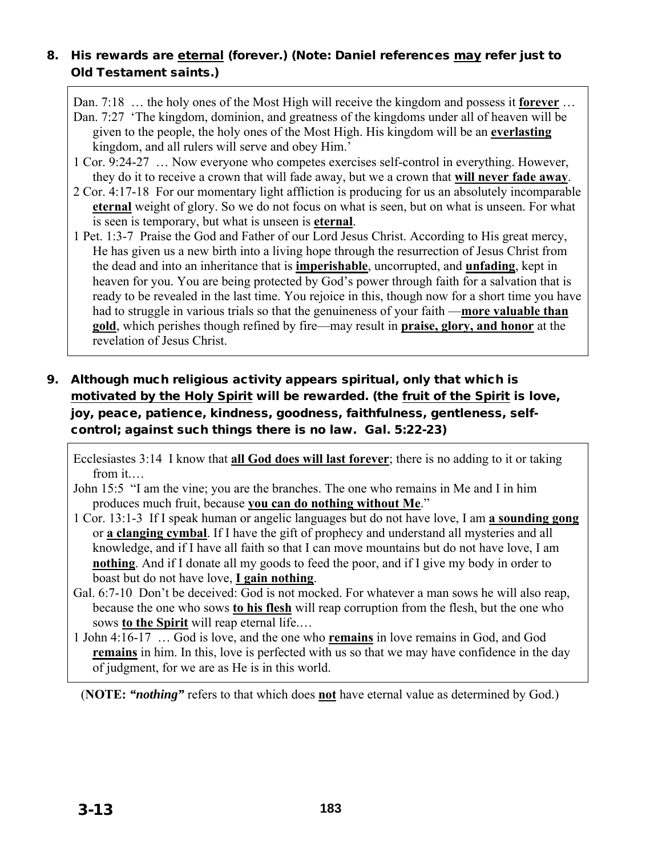### 8. His rewards are eternal (forever.) (Note: Daniel references may refer just to Old Testament saints.)

Dan. 7:18 … the holy ones of the Most High will receive the kingdom and possess it **forever** …

Dan. 7:27 'The kingdom, dominion, and greatness of the kingdoms under all of heaven will be given to the people, the holy ones of the Most High. His kingdom will be an **everlasting** kingdom, and all rulers will serve and obey Him.'

- 1 Cor. 9:24-27 … Now everyone who competes exercises self-control in everything. However, they do it to receive a crown that will fade away, but we a crown that **will never fade away**.
- 2 Cor. 4:17-18 For our momentary light affliction is producing for us an absolutely incomparable **eternal** weight of glory. So we do not focus on what is seen, but on what is unseen. For what is seen is temporary, but what is unseen is **eternal**.
- 1 Pet. 1:3-7 Praise the God and Father of our Lord Jesus Christ. According to His great mercy, He has given us a new birth into a living hope through the resurrection of Jesus Christ from the dead and into an inheritance that is **imperishable**, uncorrupted, and **unfading**, kept in heaven for you. You are being protected by God's power through faith for a salvation that is ready to be revealed in the last time. You rejoice in this, though now for a short time you have had to struggle in various trials so that the genuineness of your faith —**more valuable than gold**, which perishes though refined by fire—may result in **praise, glory, and honor** at the revelation of Jesus Christ.

## 9. Although much religious activity appears spiritual, only that which is motivated by the Holy Spirit will be rewarded. (the fruit of the Spirit is love, joy, peace, patience, kindness, goodness, faithfulness, gentleness, selfcontrol; against such things there is no law. Gal. 5:22-23)

Ecclesiastes 3:14 I know that **all God does will last forever**; there is no adding to it or taking from it.…

John 15:5 "I am the vine; you are the branches. The one who remains in Me and I in him produces much fruit, because **you can do nothing without Me**."

- 1 Cor. 13:1-3 If I speak human or angelic languages but do not have love, I am **a sounding gong** or **a clanging cymbal**. If I have the gift of prophecy and understand all mysteries and all knowledge, and if I have all faith so that I can move mountains but do not have love, I am **nothing**. And if I donate all my goods to feed the poor, and if I give my body in order to boast but do not have love, **I gain nothing**.
- Gal. 6:7-10 Don't be deceived: God is not mocked. For whatever a man sows he will also reap, because the one who sows **to his flesh** will reap corruption from the flesh, but the one who sows **to the Spirit** will reap eternal life.…
- 1 John 4:16-17 … God is love, and the one who **remains** in love remains in God, and God **remains** in him. In this, love is perfected with us so that we may have confidence in the day of judgment, for we are as He is in this world.

(**NOTE:** *"nothing"* refers to that which does **not** have eternal value as determined by God.)